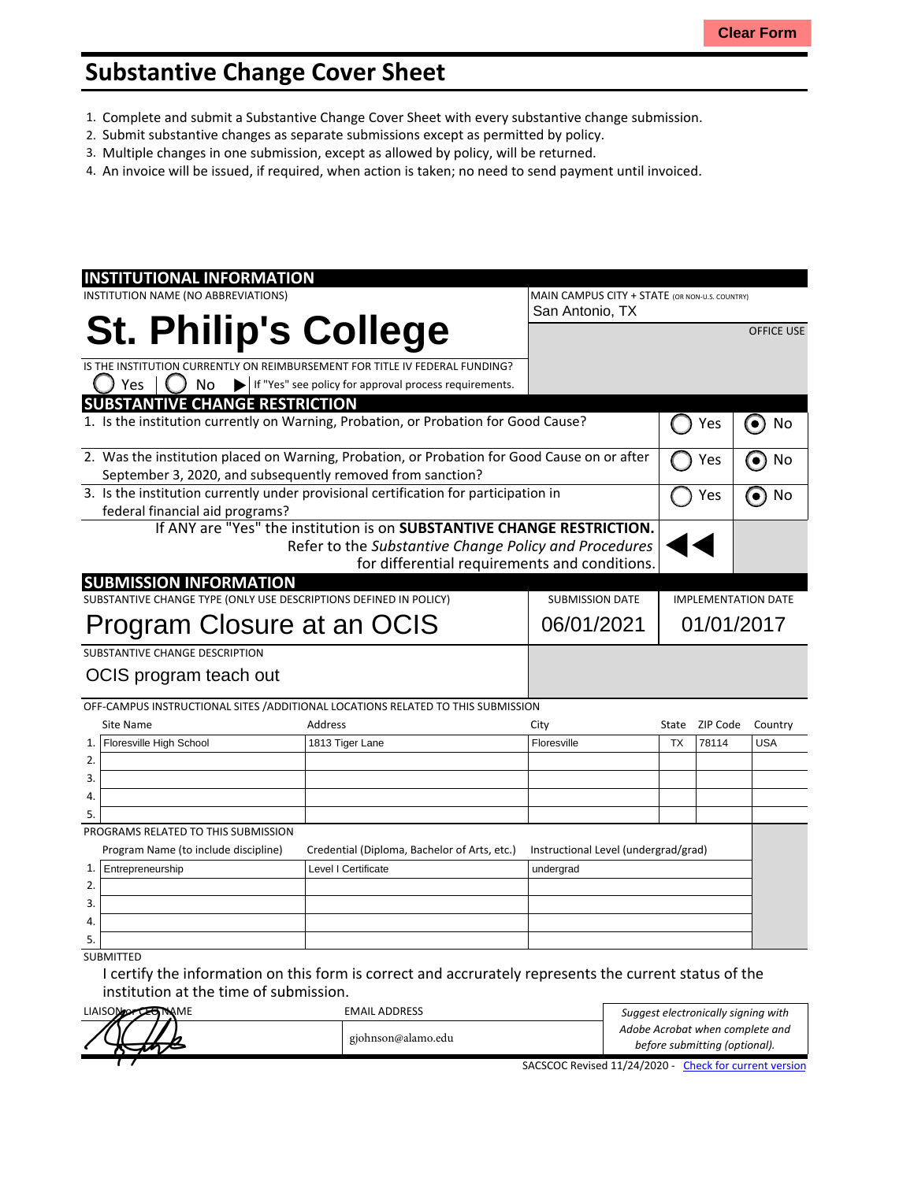## **Substantive Change Cover Sheet**

- 1. Complete and submit a Substantive Change Cover Sheet with every substantive change submission.
- 2. Submit substantive changes as separate submissions except as permitted by policy.
- 3. Multiple changes in one submission, except as allowed by policy, will be returned.
- 4. An invoice will be issued, if required, when action is taken; no need to send payment until invoiced.

| <b>INSTITUTIONAL INFORMATION</b>                                                                                                                           |                                                                                  |  |                                                |                            |          |                   |
|------------------------------------------------------------------------------------------------------------------------------------------------------------|----------------------------------------------------------------------------------|--|------------------------------------------------|----------------------------|----------|-------------------|
| INSTITUTION NAME (NO ABBREVIATIONS)                                                                                                                        |                                                                                  |  | MAIN CAMPUS CITY + STATE (OR NON-U.S. COUNTRY) |                            |          |                   |
|                                                                                                                                                            |                                                                                  |  | San Antonio, TX                                |                            |          |                   |
|                                                                                                                                                            | <b>St. Philip's College</b>                                                      |  |                                                |                            |          | <b>OFFICE USE</b> |
|                                                                                                                                                            | IS THE INSTITUTION CURRENTLY ON REIMBURSEMENT FOR TITLE IV FEDERAL FUNDING?      |  |                                                |                            |          |                   |
| Yes<br>No                                                                                                                                                  | If "Yes" see policy for approval process requirements.                           |  |                                                |                            |          |                   |
| <b>SUBSTANTIVE CHANGE RESTRICTION</b>                                                                                                                      |                                                                                  |  |                                                |                            |          |                   |
| 1. Is the institution currently on Warning, Probation, or Probation for Good Cause?                                                                        |                                                                                  |  |                                                |                            | Yes      | $\bullet$<br>No   |
| 2. Was the institution placed on Warning, Probation, or Probation for Good Cause on or after<br>September 3, 2020, and subsequently removed from sanction? |                                                                                  |  | Yes                                            | No                         |          |                   |
| 3. Is the institution currently under provisional certification for participation in                                                                       |                                                                                  |  |                                                |                            | Yes      | No                |
| federal financial aid programs?                                                                                                                            |                                                                                  |  |                                                |                            |          |                   |
|                                                                                                                                                            | If ANY are "Yes" the institution is on SUBSTANTIVE CHANGE RESTRICTION.           |  |                                                |                            |          |                   |
|                                                                                                                                                            | Refer to the Substantive Change Policy and Procedures                            |  |                                                |                            |          |                   |
|                                                                                                                                                            |                                                                                  |  | for differential requirements and conditions.  |                            |          |                   |
| <b>SUBMISSION INFORMATION</b>                                                                                                                              |                                                                                  |  |                                                |                            |          |                   |
| SUBSTANTIVE CHANGE TYPE (ONLY USE DESCRIPTIONS DEFINED IN POLICY)                                                                                          |                                                                                  |  | <b>SUBMISSION DATE</b>                         | <b>IMPLEMENTATION DATE</b> |          |                   |
| Program Closure at an OCIS                                                                                                                                 |                                                                                  |  | 06/01/2021<br>01/01/2017                       |                            |          |                   |
| SUBSTANTIVE CHANGE DESCRIPTION                                                                                                                             |                                                                                  |  |                                                |                            |          |                   |
| OCIS program teach out                                                                                                                                     |                                                                                  |  |                                                |                            |          |                   |
|                                                                                                                                                            |                                                                                  |  |                                                |                            |          |                   |
|                                                                                                                                                            | OFF-CAMPUS INSTRUCTIONAL SITES / ADDITIONAL LOCATIONS RELATED TO THIS SUBMISSION |  |                                                |                            |          |                   |
| <b>Site Name</b>                                                                                                                                           | <b>Address</b>                                                                   |  | City                                           | State                      | ZIP Code | Country           |
| Floresville High School<br>1.                                                                                                                              | 1813 Tiger Lane                                                                  |  | Floresville                                    | <b>TX</b>                  | 78114    | <b>USA</b>        |
| 2.                                                                                                                                                         |                                                                                  |  |                                                |                            |          |                   |
| 3.                                                                                                                                                         |                                                                                  |  |                                                |                            |          |                   |
| 4.                                                                                                                                                         |                                                                                  |  |                                                |                            |          |                   |
| 5.                                                                                                                                                         |                                                                                  |  |                                                |                            |          |                   |
| PROGRAMS RELATED TO THIS SUBMISSION                                                                                                                        |                                                                                  |  |                                                |                            |          |                   |
| Program Name (to include discipline)                                                                                                                       | Credential (Diploma, Bachelor of Arts, etc.)                                     |  | Instructional Level (undergrad/grad)           |                            |          |                   |
| Entrepreneurship<br>1.                                                                                                                                     | Level I Certificate                                                              |  | undergrad                                      |                            |          |                   |
| 2.                                                                                                                                                         |                                                                                  |  |                                                |                            |          |                   |
| 3.                                                                                                                                                         |                                                                                  |  |                                                |                            |          |                   |
| 4.                                                                                                                                                         |                                                                                  |  |                                                |                            |          |                   |
| 5.                                                                                                                                                         |                                                                                  |  |                                                |                            |          |                   |
| <b>SUBMITTED</b>                                                                                                                                           |                                                                                  |  |                                                |                            |          |                   |

I certify the information on this form is correct and accrurately represents the current status of the institution at the time of submission.

| LIAISON OF CERTIAME | <b>EMAIL ADDRESS</b> | Suggest electronically signing with                    |  |
|---------------------|----------------------|--------------------------------------------------------|--|
|                     |                      | Adobe Acrobat when complete and                        |  |
|                     | gjohnson@alamo.edu   | before submitting (optional).                          |  |
|                     |                      | SACSCOC Revised 11/24/2020 - Check for current version |  |

SACSCOC Revised 11/24/2020 - Check for [current](http://sacscoc.org/app/uploads/2020/01/Substantive_Change_Cover_-Sheet.pdf) version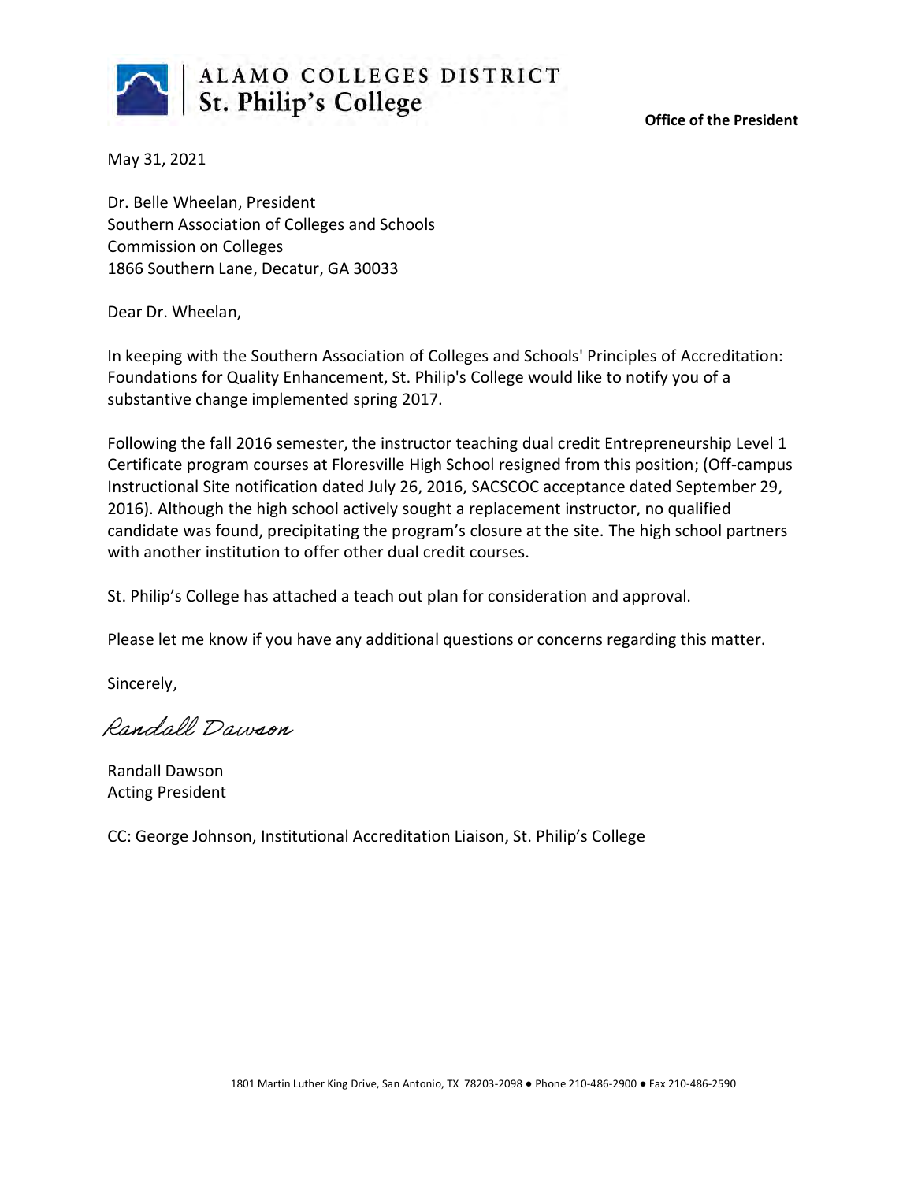

**Office of the President**

May 31, 2021

Dr. Belle Wheelan, President Southern Association of Colleges and Schools Commission on Colleges 1866 Southern Lane, Decatur, GA 30033

Dear Dr. Wheelan,

In keeping with the Southern Association of Colleges and Schools' Principles of Accreditation: Foundations for Quality Enhancement, St. Philip's College would like to notify you of a substantive change implemented spring 2017.

Following the fall 2016 semester, the instructor teaching dual credit Entrepreneurship Level 1 Certificate program courses at Floresville High School resigned from this position; (Off-campus Instructional Site notification dated July 26, 2016, SACSCOC acceptance dated September 29, 2016). Although the high school actively sought a replacement instructor, no qualified candidate was found, precipitating the program's closure at the site. The high school partners with another institution to offer other dual credit courses.

St. Philip's College has attached a teach out plan for consideration and approval.

Please let me know if you have any additional questions or concerns regarding this matter.

Sincerely,

Randall Dawson

Randall Dawson Acting President

CC: George Johnson, Institutional Accreditation Liaison, St. Philip's College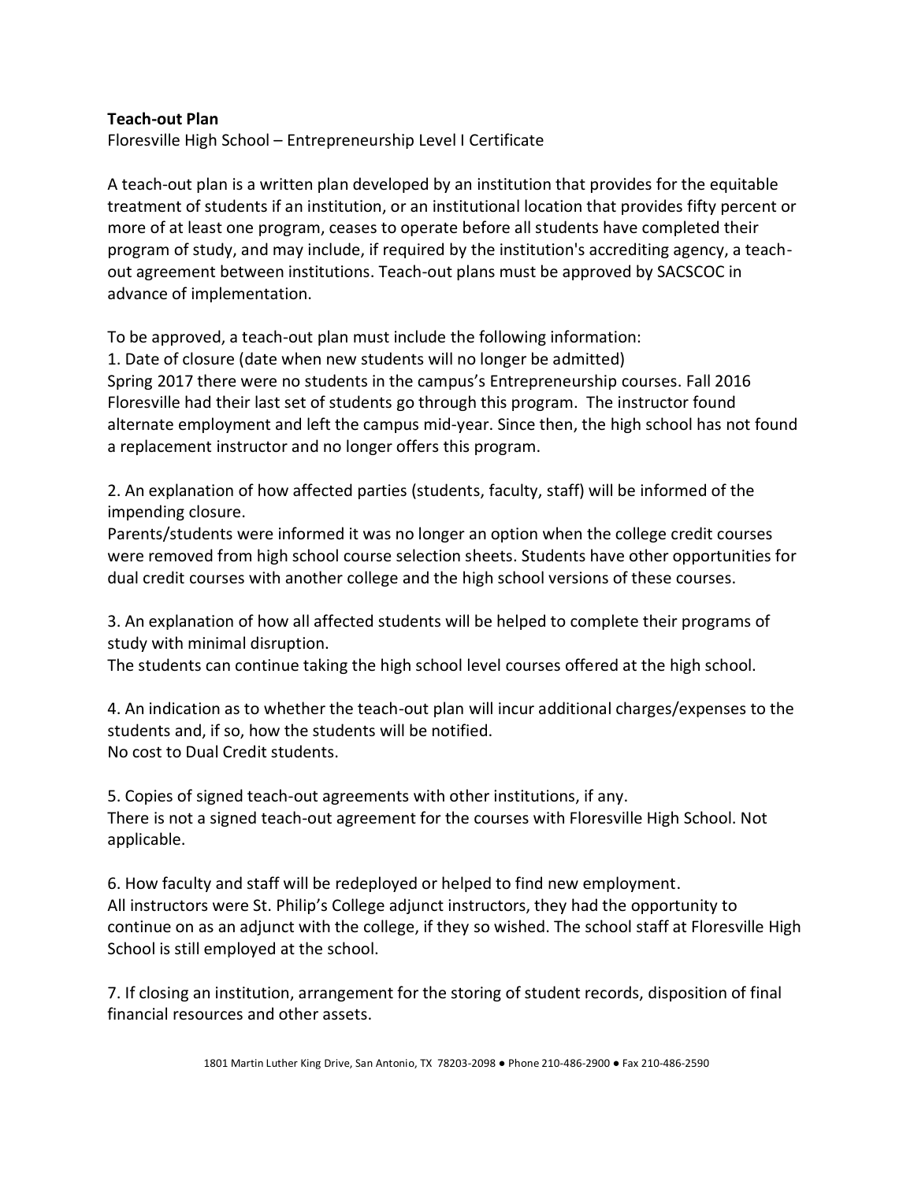## **Teach-out Plan**

Floresville High School – Entrepreneurship Level I Certificate

A teach-out plan is a written plan developed by an institution that provides for the equitable treatment of students if an institution, or an institutional location that provides fifty percent or more of at least one program, ceases to operate before all students have completed their program of study, and may include, if required by the institution's accrediting agency, a teachout agreement between institutions. Teach-out plans must be approved by SACSCOC in advance of implementation.

To be approved, a teach-out plan must include the following information:

1. Date of closure (date when new students will no longer be admitted) Spring 2017 there were no students in the campus's Entrepreneurship courses. Fall 2016 Floresville had their last set of students go through this program. The instructor found alternate employment and left the campus mid-year. Since then, the high school has not found a replacement instructor and no longer offers this program.

2. An explanation of how affected parties (students, faculty, staff) will be informed of the impending closure.

Parents/students were informed it was no longer an option when the college credit courses were removed from high school course selection sheets. Students have other opportunities for dual credit courses with another college and the high school versions of these courses.

3. An explanation of how all affected students will be helped to complete their programs of study with minimal disruption.

The students can continue taking the high school level courses offered at the high school.

4. An indication as to whether the teach-out plan will incur additional charges/expenses to the students and, if so, how the students will be notified. No cost to Dual Credit students.

5. Copies of signed teach-out agreements with other institutions, if any. There is not a signed teach-out agreement for the courses with Floresville High School. Not applicable.

6. How faculty and staff will be redeployed or helped to find new employment. All instructors were St. Philip's College adjunct instructors, they had the opportunity to continue on as an adjunct with the college, if they so wished. The school staff at Floresville High School is still employed at the school.

7. If closing an institution, arrangement for the storing of student records, disposition of final financial resources and other assets.